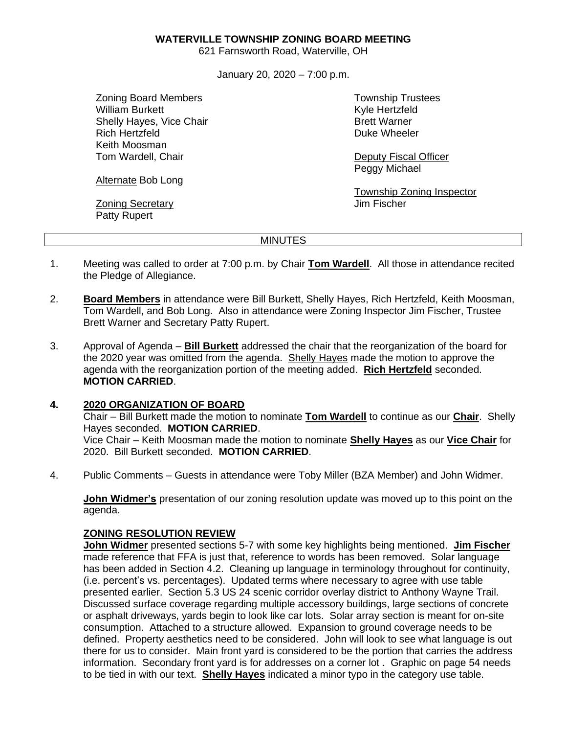#### **WATERVILLE TOWNSHIP ZONING BOARD MEETING**

621 Farnsworth Road, Waterville, OH

January 20, 2020 – 7:00 p.m.

Zoning Board Members William Burkett Shelly Hayes, Vice Chair Rich Hertzfeld Keith Moosman Tom Wardell, Chair

Alternate Bob Long

Zoning Secretary Patty Rupert

Township Trustees Kyle Hertzfeld Brett Warner Duke Wheeler

Deputy Fiscal Officer Peggy Michael

Township Zoning Inspector Jim Fischer

#### MINUTES

- 1. Meeting was called to order at 7:00 p.m. by Chair **Tom Wardell**. All those in attendance recited the Pledge of Allegiance.
- 2. **Board Members** in attendance were Bill Burkett, Shelly Hayes, Rich Hertzfeld, Keith Moosman, Tom Wardell, and Bob Long. Also in attendance were Zoning Inspector Jim Fischer, Trustee Brett Warner and Secretary Patty Rupert.
- 3. Approval of Agenda **Bill Burkett** addressed the chair that the reorganization of the board for the 2020 year was omitted from the agenda. Shelly Hayes made the motion to approve the agenda with the reorganization portion of the meeting added. **Rich Hertzfeld** seconded. **MOTION CARRIED**.

### **4. 2020 ORGANIZATION OF BOARD**

Chair – Bill Burkett made the motion to nominate **Tom Wardell** to continue as our **Chair**. Shelly Hayes seconded. **MOTION CARRIED**. Vice Chair – Keith Moosman made the motion to nominate **Shelly Hayes** as our **Vice Chair** for

2020. Bill Burkett seconded. **MOTION CARRIED**.

4. Public Comments – Guests in attendance were Toby Miller (BZA Member) and John Widmer.

**John Widmer's** presentation of our zoning resolution update was moved up to this point on the agenda.

### **ZONING RESOLUTION REVIEW**

**John Widmer** presented sections 5-7 with some key highlights being mentioned. **Jim Fischer** made reference that FFA is just that, reference to words has been removed. Solar language has been added in Section 4.2. Cleaning up language in terminology throughout for continuity, (i.e. percent's vs. percentages). Updated terms where necessary to agree with use table presented earlier. Section 5.3 US 24 scenic corridor overlay district to Anthony Wayne Trail. Discussed surface coverage regarding multiple accessory buildings, large sections of concrete or asphalt driveways, yards begin to look like car lots. Solar array section is meant for on-site consumption. Attached to a structure allowed. Expansion to ground coverage needs to be defined. Property aesthetics need to be considered. John will look to see what language is out there for us to consider. Main front yard is considered to be the portion that carries the address information. Secondary front yard is for addresses on a corner lot . Graphic on page 54 needs to be tied in with our text. **Shelly Hayes** indicated a minor typo in the category use table.